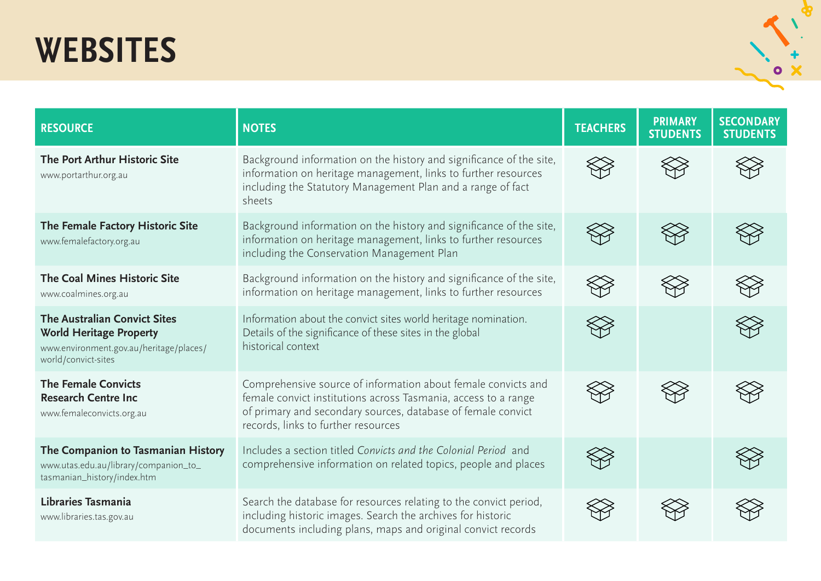## **WEBSITES**



| <b>RESOURCE</b>                                                                                                                         | <b>NOTES</b>                                                                                                                                                                                                                           | <b>TEACHERS</b> | <b>PRIMARY</b><br><b>STUDENTS</b> | <b>SECONDARY</b><br><b>STUDENTS</b> |
|-----------------------------------------------------------------------------------------------------------------------------------------|----------------------------------------------------------------------------------------------------------------------------------------------------------------------------------------------------------------------------------------|-----------------|-----------------------------------|-------------------------------------|
| The Port Arthur Historic Site<br>www.portarthur.org.au                                                                                  | Background information on the history and significance of the site,<br>information on heritage management, links to further resources<br>including the Statutory Management Plan and a range of fact<br>sheets                         |                 |                                   |                                     |
| The Female Factory Historic Site<br>www.femalefactory.org.au                                                                            | Background information on the history and significance of the site,<br>information on heritage management, links to further resources<br>including the Conservation Management Plan                                                    |                 |                                   |                                     |
| The Coal Mines Historic Site<br>www.coalmines.org.au                                                                                    | Background information on the history and significance of the site,<br>information on heritage management, links to further resources                                                                                                  |                 |                                   |                                     |
| <b>The Australian Convict Sites</b><br><b>World Heritage Property</b><br>www.environment.gov.au/heritage/places/<br>world/convict-sites | Information about the convict sites world heritage nomination.<br>Details of the significance of these sites in the global<br>historical context                                                                                       |                 |                                   |                                     |
| <b>The Female Convicts</b><br><b>Research Centre Inc</b><br>www.femaleconvicts.org.au                                                   | Comprehensive source of information about female convicts and<br>female convict institutions across Tasmania, access to a range<br>of primary and secondary sources, database of female convict<br>records, links to further resources |                 |                                   |                                     |
| The Companion to Tasmanian History<br>www.utas.edu.au/library/companion_to_<br>tasmanian_history/index.htm                              | Includes a section titled Convicts and the Colonial Period and<br>comprehensive information on related topics, people and places                                                                                                       |                 |                                   |                                     |
| Libraries Tasmania<br>www.libraries.tas.gov.au                                                                                          | Search the database for resources relating to the convict period,<br>including historic images. Search the archives for historic<br>documents including plans, maps and original convict records                                       |                 |                                   |                                     |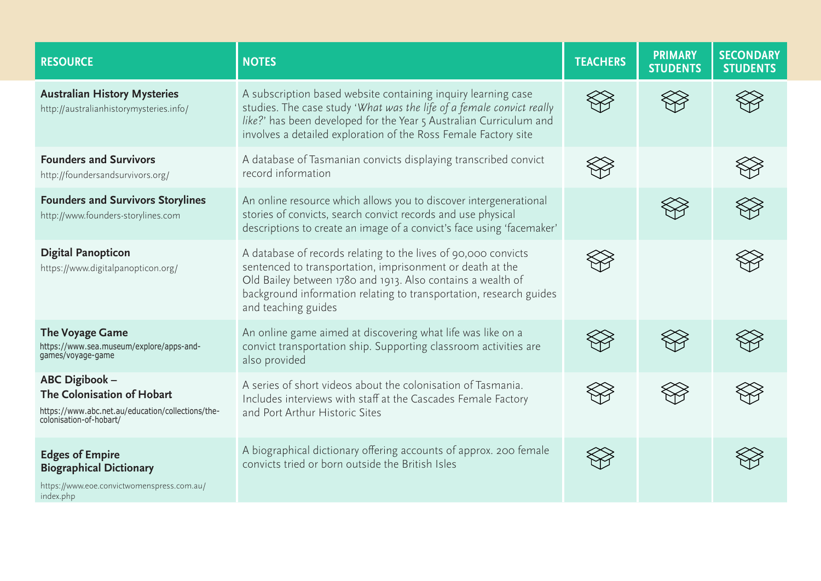| <b>RESOURCE</b>                                                                                                              | <b>NOTES</b>                                                                                                                                                                                                                                                                            | <b>TEACHERS</b> | <b>PRIMARY</b><br><b>STUDENTS</b> | <b>SECONDARY</b><br><b>STUDENTS</b> |
|------------------------------------------------------------------------------------------------------------------------------|-----------------------------------------------------------------------------------------------------------------------------------------------------------------------------------------------------------------------------------------------------------------------------------------|-----------------|-----------------------------------|-------------------------------------|
| <b>Australian History Mysteries</b><br>http://australianhistorymysteries.info/                                               | A subscription based website containing inquiry learning case<br>studies. The case study 'What was the life of a female convict really<br>like?' has been developed for the Year 5 Australian Curriculum and<br>involves a detailed exploration of the Ross Female Factory site         |                 |                                   |                                     |
| <b>Founders and Survivors</b><br>http://foundersandsurvivors.org/                                                            | A database of Tasmanian convicts displaying transcribed convict<br>record information                                                                                                                                                                                                   |                 |                                   |                                     |
| <b>Founders and Survivors Storylines</b><br>http://www.founders-storylines.com                                               | An online resource which allows you to discover intergenerational<br>stories of convicts, search convict records and use physical<br>descriptions to create an image of a convict's face using 'facemaker'                                                                              |                 |                                   |                                     |
| <b>Digital Panopticon</b><br>https://www.digitalpanopticon.org/                                                              | A database of records relating to the lives of 90,000 convicts<br>sentenced to transportation, imprisonment or death at the<br>Old Bailey between 1780 and 1913. Also contains a wealth of<br>background information relating to transportation, research guides<br>and teaching guides |                 |                                   |                                     |
| <b>The Voyage Game</b><br>https://www.sea.museum/explore/apps-and-<br>games/voyage-game                                      | An online game aimed at discovering what life was like on a<br>convict transportation ship. Supporting classroom activities are<br>also provided                                                                                                                                        |                 |                                   |                                     |
| ABC Digibook -<br>The Colonisation of Hobart<br>https://www.abc.net.au/education/collections/the-<br>colonisation-of-hobart/ | A series of short videos about the colonisation of Tasmania.<br>Includes interviews with staff at the Cascades Female Factory<br>and Port Arthur Historic Sites                                                                                                                         |                 |                                   |                                     |
| <b>Edges of Empire</b><br><b>Biographical Dictionary</b><br>https://www.eoe.convictwomenspress.com.au/<br>index.php          | A biographical dictionary offering accounts of approx. 200 female<br>convicts tried or born outside the British Isles                                                                                                                                                                   |                 |                                   |                                     |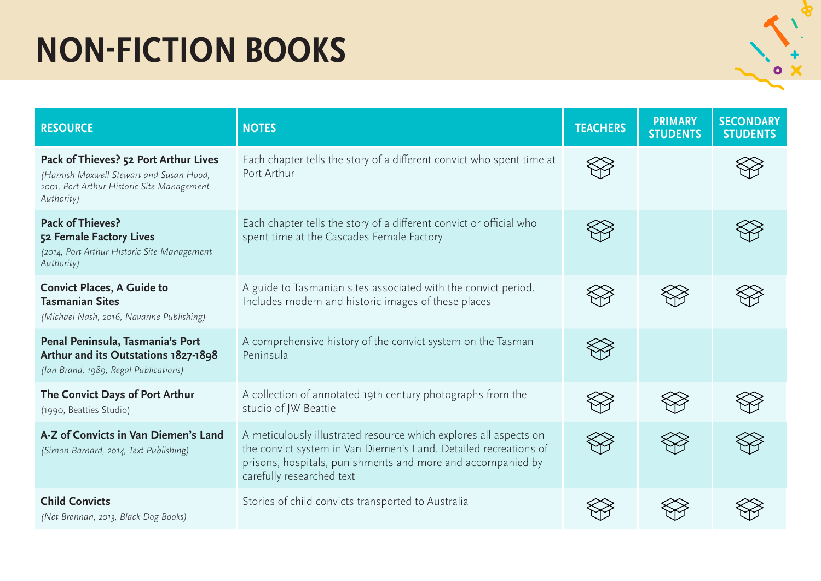## **NON-FICTION BOOKS**

|   | ٠ |
|---|---|
|   |   |
| O |   |
|   |   |

| <b>RESOURCE</b>                                                                                                                              | <b>NOTES</b>                                                                                                                                                                                                                      | <b>TEACHERS</b> | <b>PRIMARY</b><br><b>STUDENTS</b> | <b>SECONDARY</b><br><b>STUDENTS</b> |
|----------------------------------------------------------------------------------------------------------------------------------------------|-----------------------------------------------------------------------------------------------------------------------------------------------------------------------------------------------------------------------------------|-----------------|-----------------------------------|-------------------------------------|
| Pack of Thieves? 52 Port Arthur Lives<br>(Hamish Maxwell Stewart and Susan Hood,<br>2001, Port Arthur Historic Site Management<br>Authority) | Each chapter tells the story of a different convict who spent time at<br>Port Arthur                                                                                                                                              |                 |                                   |                                     |
| Pack of Thieves?<br>52 Female Factory Lives<br>(2014, Port Arthur Historic Site Management<br>Authority)                                     | Each chapter tells the story of a different convict or official who<br>spent time at the Cascades Female Factory                                                                                                                  |                 |                                   |                                     |
| <b>Convict Places, A Guide to</b><br><b>Tasmanian Sites</b><br>(Michael Nash, 2016, Navarine Publishing)                                     | A guide to Tasmanian sites associated with the convict period.<br>Includes modern and historic images of these places                                                                                                             |                 |                                   |                                     |
| Penal Peninsula, Tasmania's Port<br>Arthur and its Outstations 1827-1898<br>(Ian Brand, 1989, Regal Publications)                            | A comprehensive history of the convict system on the Tasman<br>Peninsula                                                                                                                                                          |                 |                                   |                                     |
| The Convict Days of Port Arthur<br>(1990, Beatties Studio)                                                                                   | A collection of annotated 19th century photographs from the<br>studio of JW Beattie                                                                                                                                               |                 |                                   |                                     |
| A-Z of Convicts in Van Diemen's Land<br>(Simon Barnard, 2014, Text Publishing)                                                               | A meticulously illustrated resource which explores all aspects on<br>the convict system in Van Diemen's Land. Detailed recreations of<br>prisons, hospitals, punishments and more and accompanied by<br>carefully researched text |                 |                                   |                                     |
| <b>Child Convicts</b><br>(Net Brennan, 2013, Black Dog Books)                                                                                | Stories of child convicts transported to Australia                                                                                                                                                                                |                 |                                   |                                     |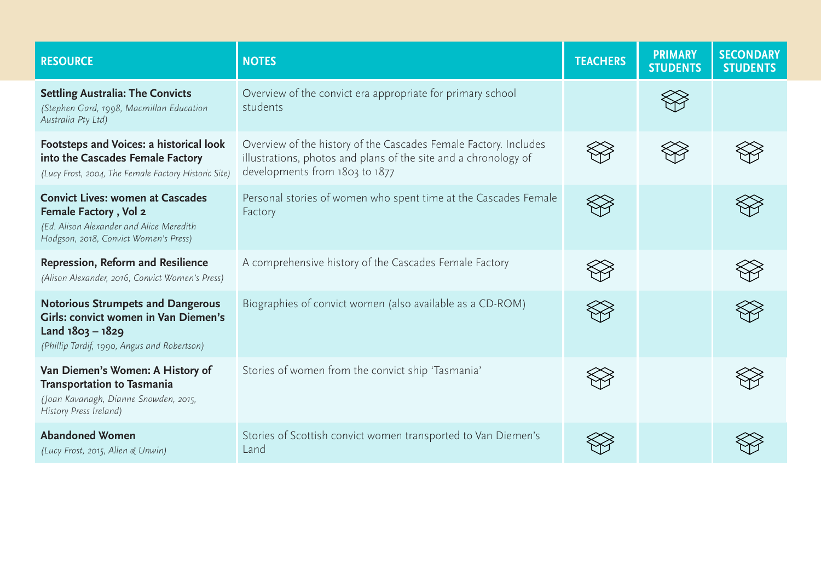| <b>RESOURCE</b>                                                                                                                                            | <b>NOTES</b>                                                                                                                                                          | <b>TEACHERS</b> | <b>PRIMARY</b><br><b>STUDENTS</b> | <b>SECONDARY</b><br><b>STUDENTS</b> |
|------------------------------------------------------------------------------------------------------------------------------------------------------------|-----------------------------------------------------------------------------------------------------------------------------------------------------------------------|-----------------|-----------------------------------|-------------------------------------|
| <b>Settling Australia: The Convicts</b><br>(Stephen Gard, 1998, Macmillan Education<br>Australia Pty Ltd)                                                  | Overview of the convict era appropriate for primary school<br>students                                                                                                |                 |                                   |                                     |
| Footsteps and Voices: a historical look<br>into the Cascades Female Factory<br>(Lucy Frost, 2004, The Female Factory Historic Site)                        | Overview of the history of the Cascades Female Factory. Includes<br>illustrations, photos and plans of the site and a chronology of<br>developments from 1803 to 1877 |                 |                                   |                                     |
| <b>Convict Lives: women at Cascades</b><br>Female Factory, Vol 2<br>(Ed. Alison Alexander and Alice Meredith<br>Hodgson, 2018, Convict Women's Press)      | Personal stories of women who spent time at the Cascades Female<br>Factory                                                                                            |                 |                                   |                                     |
| <b>Repression, Reform and Resilience</b><br>(Alison Alexander, 2016, Convict Women's Press)                                                                | A comprehensive history of the Cascades Female Factory                                                                                                                |                 |                                   |                                     |
| <b>Notorious Strumpets and Dangerous</b><br><b>Girls: convict women in Van Diemen's</b><br>Land 1803 - 1829<br>(Phillip Tardif, 1990, Angus and Robertson) | Biographies of convict women (also available as a CD-ROM)                                                                                                             |                 |                                   |                                     |
| Van Diemen's Women: A History of<br><b>Transportation to Tasmania</b><br>(Joan Kavanagh, Dianne Snowden, 2015,<br>History Press Ireland)                   | Stories of women from the convict ship 'Tasmania'                                                                                                                     |                 |                                   |                                     |
| <b>Abandoned Women</b><br>(Lucy Frost, 2015, Allen & Unwin)                                                                                                | Stories of Scottish convict women transported to Van Diemen's<br>Land                                                                                                 |                 |                                   |                                     |